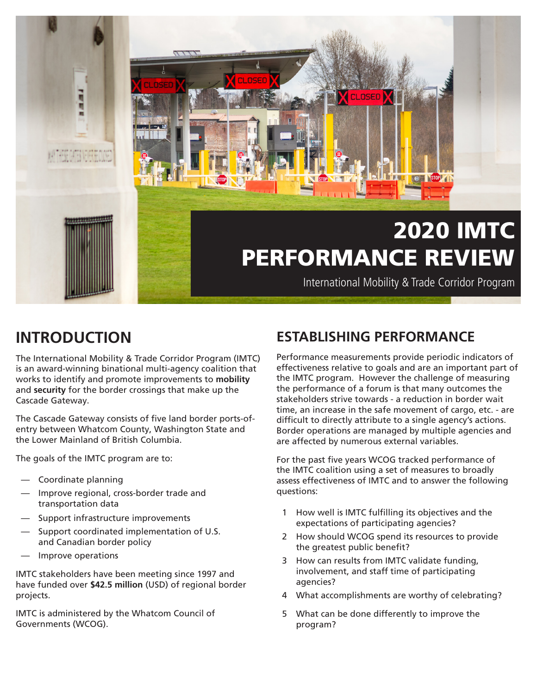

# **INTRODUCTION**

The International Mobility & Trade Corridor Program (IMTC) is an award-winning binational multi-agency coalition that works to identify and promote improvements to **mobility** and **security** for the border crossings that make up the Cascade Gateway.

The Cascade Gateway consists of five land border ports-ofentry between Whatcom County, Washington State and the Lower Mainland of British Columbia.

The goals of the IMTC program are to:

- Coordinate planning
- Improve regional, cross-border trade and transportation data
- Support infrastructure improvements
- Support coordinated implementation of U.S. and Canadian border policy
- Improve operations

IMTC stakeholders have been meeting since 1997 and have funded over **\$42.5 million** (USD) of regional border projects.

IMTC is administered by the Whatcom Council of Governments (WCOG).

## **ESTABLISHING PERFORMANCE**

Performance measurements provide periodic indicators of effectiveness relative to goals and are an important part of the IMTC program. However the challenge of measuring the performance of a forum is that many outcomes the stakeholders strive towards - a reduction in border wait time, an increase in the safe movement of cargo, etc. - are difficult to directly attribute to a single agency's actions. Border operations are managed by multiple agencies and are affected by numerous external variables.

For the past five years WCOG tracked performance of the IMTC coalition using a set of measures to broadly assess effectiveness of IMTC and to answer the following questions:

- 1 How well is IMTC fulfilling its objectives and the expectations of participating agencies?
- 2 How should WCOG spend its resources to provide the greatest public benefit?
- 3 How can results from IMTC validate funding, involvement, and staff time of participating agencies?
- 4 What accomplishments are worthy of celebrating?
- 5 What can be done differently to improve the program?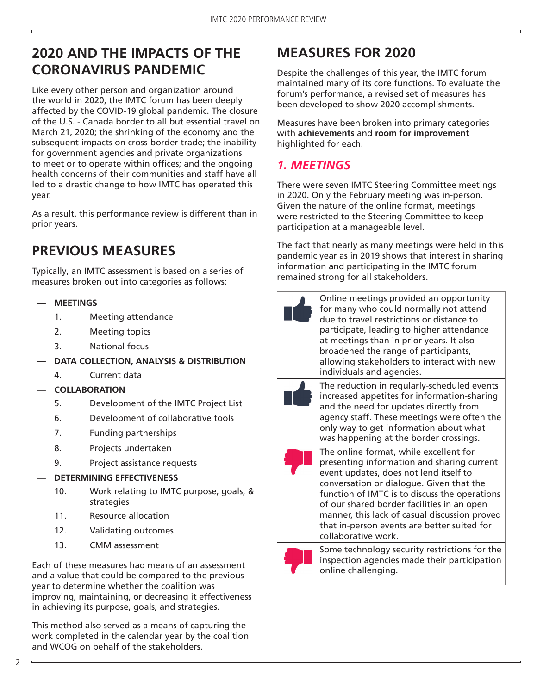## **2020 AND THE IMPACTS OF THE CORONAVIRUS PANDEMIC**

Like every other person and organization around the world in 2020, the IMTC forum has been deeply affected by the COVID-19 global pandemic. The closure of the U.S. - Canada border to all but essential travel on March 21, 2020; the shrinking of the economy and the subsequent impacts on cross-border trade; the inability for government agencies and private organizations to meet or to operate within offices; and the ongoing health concerns of their communities and staff have all led to a drastic change to how IMTC has operated this year.

As a result, this performance review is different than in prior years.

# **PREVIOUS MEASURES**

Typically, an IMTC assessment is based on a series of measures broken out into categories as follows:

#### **— MEETINGS**

- 1. Meeting attendance
- 2. Meeting topics
- 3. National focus
- **— DATA COLLECTION, ANALYSIS & DISTRIBUTION**
	- 4. Current data

### **— COLLABORATION**

- 5. Development of the IMTC Project List
- 6. Development of collaborative tools
- 7. Funding partnerships
- 8. Projects undertaken
- 9. Project assistance requests

### **— DETERMINING EFFECTIVENESS**

- 10. Work relating to IMTC purpose, goals, & strategies
- 11. Resource allocation
- 12. Validating outcomes
- 13. CMM assessment

Each of these measures had means of an assessment and a value that could be compared to the previous year to determine whether the coalition was improving, maintaining, or decreasing it effectiveness in achieving its purpose, goals, and strategies.

This method also served as a means of capturing the work completed in the calendar year by the coalition and WCOG on behalf of the stakeholders.

# **MEASURES FOR 2020**

Despite the challenges of this year, the IMTC forum maintained many of its core functions. To evaluate the forum's performance, a revised set of measures has been developed to show 2020 accomplishments.

Measures have been broken into primary categories with **achievements** and **room for improvement** highlighted for each.

## *1. MEETINGS*

There were seven IMTC Steering Committee meetings in 2020. Only the February meeting was in-person. Given the nature of the online format, meetings were restricted to the Steering Committee to keep participation at a manageable level.

The fact that nearly as many meetings were held in this pandemic year as in 2019 shows that interest in sharing information and participating in the IMTC forum remained strong for all stakeholders.

| Online meetings provided an opportunity<br>for many who could normally not attend<br>due to travel restrictions or distance to<br>participate, leading to higher attendance<br>at meetings than in prior years. It also<br>broadened the range of participants,<br>allowing stakeholders to interact with new<br>individuals and agencies. |
|--------------------------------------------------------------------------------------------------------------------------------------------------------------------------------------------------------------------------------------------------------------------------------------------------------------------------------------------|
| The reduction in regularly-scheduled events<br>increased appetites for information-sharing<br>and the need for updates directly from<br>agency staff. These meetings were often the<br>only way to get information about what<br>was happening at the border crossings.                                                                    |
| The online format, while excellent for<br>presenting information and sharing current<br>event updates, does not lend itself to<br>conversation or dialogue. Given that the<br>function of $IMTC$ is to discuss the operations                                                                                                              |





presenting information and sharing current function of IMTC is to discuss the operations of our shared border facilities in an open manner, this lack of casual discussion proved that in-person events are better suited for collaborative work.



Some technology security restrictions for the inspection agencies made their participation online challenging.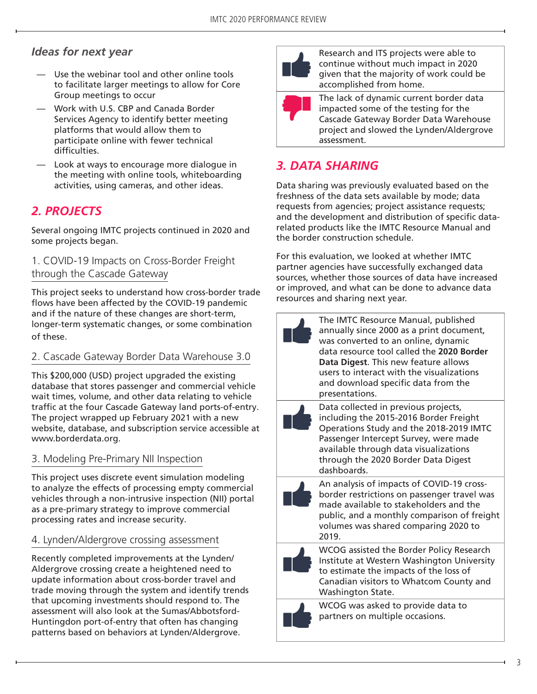## *Ideas for next year*

- Use the webinar tool and other online tools to facilitate larger meetings to allow for Core Group meetings to occur
- Work with U.S. CBP and Canada Border Services Agency to identify better meeting platforms that would allow them to participate online with fewer technical difficulties.
- Look at ways to encourage more dialogue in the meeting with online tools, whiteboarding activities, using cameras, and other ideas.

## *2. PROJECTS*

Several ongoing IMTC projects continued in 2020 and some projects began.

#### 1. COVID-19 Impacts on Cross-Border Freight through the Cascade Gateway

This project seeks to understand how cross-border trade flows have been affected by the COVID-19 pandemic and if the nature of these changes are short-term, longer-term systematic changes, or some combination of these.

### 2. Cascade Gateway Border Data Warehouse 3.0

This \$200,000 (USD) project upgraded the existing database that stores passenger and commercial vehicle wait times, volume, and other data relating to vehicle traffic at the four Cascade Gateway land ports-of-entry. The project wrapped up February 2021 with a new website, database, and subscription service accessible at www.borderdata.org.

### 3. Modeling Pre-Primary NII Inspection

This project uses discrete event simulation modeling to analyze the effects of processing empty commercial vehicles through a non-intrusive inspection (NII) portal as a pre-primary strategy to improve commercial processing rates and increase security.

### 4. Lynden/Aldergrove crossing assessment

Recently completed improvements at the Lynden/ Aldergrove crossing create a heightened need to update information about cross-border travel and trade moving through the system and identify trends that upcoming investments should respond to. The assessment will also look at the Sumas/Abbotsford-Huntingdon port-of-entry that often has changing patterns based on behaviors at Lynden/Aldergrove.



Research and ITS projects were able to continue without much impact in 2020 given that the majority of work could be accomplished from home.

The lack of dynamic current border data impacted some of the testing for the Cascade Gateway Border Data Warehouse project and slowed the Lynden/Aldergrove assessment.

## *3. DATA SHARING*

Data sharing was previously evaluated based on the freshness of the data sets available by mode; data requests from agencies; project assistance requests; and the development and distribution of specific datarelated products like the IMTC Resource Manual and the border construction schedule.

For this evaluation, we looked at whether IMTC partner agencies have successfully exchanged data sources, whether those sources of data have increased or improved, and what can be done to advance data resources and sharing next year.

| The IMTC Resource Manual, published<br>annually since 2000 as a print document,<br>was converted to an online, dynamic<br>data resource tool called the 2020 Border<br>Data Digest. This new feature allows<br>users to interact with the visualizations<br>and download specific data from the<br>presentations. |
|-------------------------------------------------------------------------------------------------------------------------------------------------------------------------------------------------------------------------------------------------------------------------------------------------------------------|
| Data collected in previous projects,<br>including the 2015-2016 Border Freight<br>Operations Study and the 2018-2019 IMTC<br>Passenger Intercept Survey, were made<br>available through data visualizations<br>through the 2020 Border Data Digest<br>dashboards.                                                 |
| An analysis of impacts of COVID-19 cross-<br>border restrictions on passenger travel was<br>made available to stakeholders and the<br>public, and a monthly comparison of freight<br>volumes was shared comparing 2020 to<br>2019.                                                                                |
| WCOG assisted the Border Policy Research<br>Institute at Western Washington University<br>to estimate the impacts of the loss of<br>Canadian visitors to Whatcom County and<br>Washington State.                                                                                                                  |
| WCOG was asked to provide data to                                                                                                                                                                                                                                                                                 |



WCOG was asked to provide data to partners on multiple occasions.